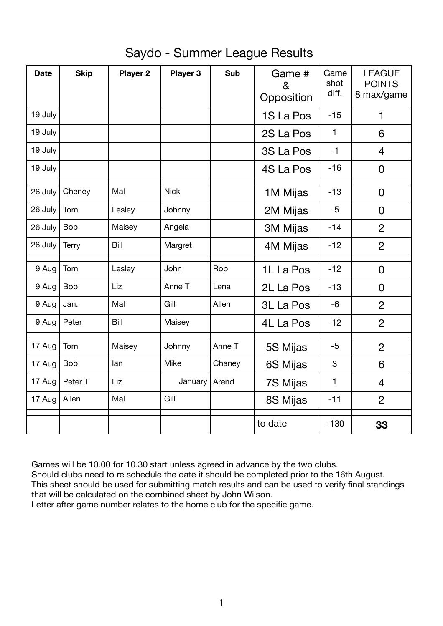| <b>Date</b>    | <b>Skip</b>  | <b>Player 2</b> | Player 3    | <b>Sub</b> | Game #<br>&<br>Opposition |              | <b>LEAGUE</b><br><b>POINTS</b><br>8 max/game |
|----------------|--------------|-----------------|-------------|------------|---------------------------|--------------|----------------------------------------------|
| 19 July        |              |                 |             |            | 1S La Pos                 | $-15$        | 1                                            |
| 19 July        |              |                 |             |            | 2S La Pos                 | 1            | 6                                            |
| 19 July        |              |                 |             |            | 3S La Pos                 | $-1$         | $\overline{4}$                               |
| 19 July        |              |                 |             |            | 4S La Pos                 | $-16$        | $\mathbf 0$                                  |
| 26 July        | Cheney       | Mal             | <b>Nick</b> |            | 1M Mijas                  | $-13$        | $\overline{0}$                               |
| 26 July        | Tom          | Lesley          | Johnny      |            | 2M Mijas                  | $-5$         | $\overline{0}$                               |
| 26 July        | <b>Bob</b>   | Maisey          | Angela      |            | 3M Mijas                  | $-14$        | $\overline{2}$                               |
| 26 July        | <b>Terry</b> | Bill            | Margret     |            | 4M Mijas                  | $-12$        | $\overline{2}$                               |
| 9 Aug          | Tom          | Lesley          | John        | Rob        | 1L La Pos                 | $-12$        | $\mathbf 0$                                  |
| 9 Aug          | <b>Bob</b>   | Liz             | Anne T      | Lena       | 2L La Pos                 | $-13$        | $\overline{0}$                               |
| 9 Aug          | Jan.         | Mal             | Gill        | Allen      | 3L La Pos                 | -6           | $\overline{2}$                               |
| 9 Aug          | Peter        | Bill            | Maisey      |            | 4L La Pos                 | $-12$        | $\overline{2}$                               |
| 17 Aug         | Tom          | Maisey          | Johnny      | Anne T     | 5S Mijas                  | $-5$         | $\overline{2}$                               |
| 17 Aug         | <b>Bob</b>   | lan             | Mike        | Chaney     | 6S Mijas                  | 3            | 6                                            |
| 17 Aug         | Peter T      | Liz             | January     | Arend      | 7S Mijas                  | $\mathbf{1}$ | 4                                            |
| 17 Aug   Allen |              | Mal             | Gill        |            | 8S Mijas                  | $-11$        | $\overline{2}$                               |
|                |              |                 |             |            | to date                   | $-130$       | 33                                           |

## Saydo - Summer League Results

Games will be 10.00 for 10.30 start unless agreed in advance by the two clubs.

Should clubs need to re schedule the date it should be completed prior to the 16th August. This sheet should be used for submitting match results and can be used to verify final standings that will be calculated on the combined sheet by John Wilson.

Letter after game number relates to the home club for the specific game.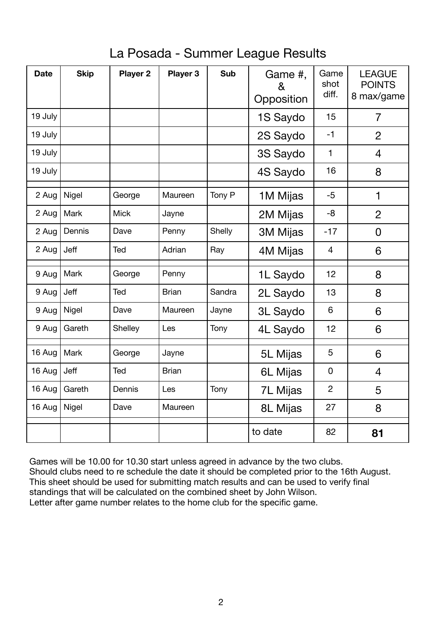## La Posada - Summer League Results

| <b>Date</b>         | <b>Skip</b> | <b>Player 2</b> | <b>Player 3</b> | <b>Sub</b> | Game #,<br>&<br>Opposition | Game<br>shot<br>diff. | <b>LEAGUE</b><br><b>POINTS</b><br>8 max/game |
|---------------------|-------------|-----------------|-----------------|------------|----------------------------|-----------------------|----------------------------------------------|
| 19 July             |             |                 |                 |            | 15<br>1S Saydo             |                       | $\overline{7}$                               |
| 19 July             |             |                 |                 |            | 2S Saydo                   | $-1$                  | $\overline{2}$                               |
| 19 July             |             |                 |                 |            | 3S Saydo                   | 1                     |                                              |
| 19 July             |             |                 |                 |            | 16<br>4S Saydo             |                       | 8                                            |
| 2 Aug               | Nigel       | George          | Maureen         | Tony P     | $-5$<br>1M Mijas           |                       | 1                                            |
| 2 Aug               | <b>Mark</b> | <b>Mick</b>     | Jayne           |            | 2M Mijas                   | -8                    | $\overline{2}$                               |
| 2 Aug               | Dennis      | Dave            | Penny           | Shelly     | 3M Mijas                   | $-17$                 | $\overline{0}$                               |
| 2 Aug               | Jeff        | Ted             | Adrian          | Ray        | 4M Mijas                   | 4                     | 6                                            |
| 9 Aug               | <b>Mark</b> | George          | Penny           |            | 1L Saydo                   | 12                    | 8                                            |
| 9 Aug               | Jeff        | Ted             | <b>Brian</b>    | Sandra     | 2L Saydo                   | 13                    | 8                                            |
| 9 Aug               | Nigel       | Dave            | Maureen         | Jayne      | 3L Saydo                   | 6                     | 6                                            |
| 9 Aug               | Gareth      | <b>Shelley</b>  | Les             | Tony       | 4L Saydo                   | 12                    | 6                                            |
| 16 Aug              | Mark        | George          | Jayne           |            | 5L Mijas                   | 5                     | 6                                            |
| 16 Aug $\vert$ Jeff |             | Ted             | <b>Brian</b>    |            | 6L Mijas                   | 0                     | $\overline{4}$                               |
| 16 Aug              | Gareth      | Dennis          | Les             | Tony       | 7L Mijas                   | $\overline{2}$        | 5                                            |
| 16 Aug $\vert$      | Nigel       | Dave            | Maureen         |            | 8L Mijas                   | 27                    | 8                                            |
|                     |             |                 |                 |            | to date                    | 82                    | 81                                           |

Games will be 10.00 for 10.30 start unless agreed in advance by the two clubs. Should clubs need to re schedule the date it should be completed prior to the 16th August. This sheet should be used for submitting match results and can be used to verify final standings that will be calculated on the combined sheet by John Wilson. Letter after game number relates to the home club for the specific game.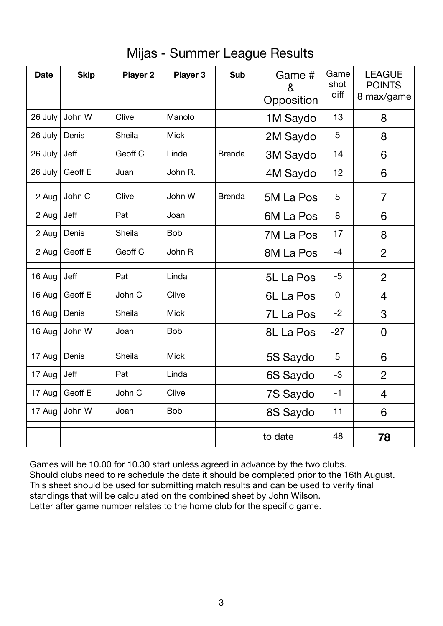| <b>Date</b>         | <b>Skip</b>     | <b>Player 2</b> | Player 3    | <b>Sub</b>    | Game #<br>&<br>Opposition | Game<br>shot<br>diff | <b>LEAGUE</b><br><b>POINTS</b><br>8 max/game |
|---------------------|-----------------|-----------------|-------------|---------------|---------------------------|----------------------|----------------------------------------------|
| 26 July             | John W          | Clive           | Manolo      |               | 1M Saydo                  | 13                   | 8                                            |
| $26$ July           | Denis           | Sheila          | <b>Mick</b> |               | 2M Saydo                  | 5                    | 8                                            |
| 26 July             | Jeff            | Geoff C         | Linda       | <b>Brenda</b> | 3M Saydo                  | 14                   | 6                                            |
| 26 July             | Geoff E         | Juan            | John R.     |               | 4M Saydo                  | 12                   | 6                                            |
| 2 Aug               | John C          | Clive           | John W      | <b>Brenda</b> | 5M La Pos                 | 5                    | $\overline{7}$                               |
| 2 Aug               | Jeff            | Pat             | Joan        |               | 6M La Pos                 | 8                    | 6                                            |
| 2 Aug               | Denis           | Sheila          | <b>Bob</b>  |               | 7M La Pos                 | 17                   | 8                                            |
| 2 Aug               | Geoff E         | Geoff C         | John R      |               | 8M La Pos                 | $-4$                 | $\overline{2}$                               |
| 16 Aug              | Jeff            | Pat             | Linda       |               | 5L La Pos                 | $-5$                 | $\overline{2}$                               |
| 16 Aug              | Geoff E         | John C          | Clive       |               | 6L La Pos                 | $\mathbf 0$          | $\overline{4}$                               |
| 16 Aug              | Denis           | <b>Sheila</b>   | <b>Mick</b> |               | 7L La Pos                 | $-2$                 | 3                                            |
| 16 Aug              | John W          | Joan            | <b>Bob</b>  |               | 8L La Pos                 | $-27$                | $\overline{0}$                               |
| 17 Aug              | Denis           | Sheila          | <b>Mick</b> |               | 5S Saydo                  | 5                    | 6                                            |
| 17 Aug $\vert$ Jeff |                 | Pat             | Linda       |               | 6S Saydo                  | $-3$                 | $\overline{2}$                               |
| 17 Aug              | Geoff E         | John C          | Clive       |               | 7S Saydo                  | $-1$                 | 4                                            |
|                     | 17 Aug   John W | Joan            | <b>Bob</b>  |               | 8S Saydo                  | 11                   | 6                                            |
|                     |                 |                 |             |               | to date                   | 48                   | 78                                           |

## Mijas - Summer League Results

Games will be 10.00 for 10.30 start unless agreed in advance by the two clubs. Should clubs need to re schedule the date it should be completed prior to the 16th August. This sheet should be used for submitting match results and can be used to verify final standings that will be calculated on the combined sheet by John Wilson. Letter after game number relates to the home club for the specific game.